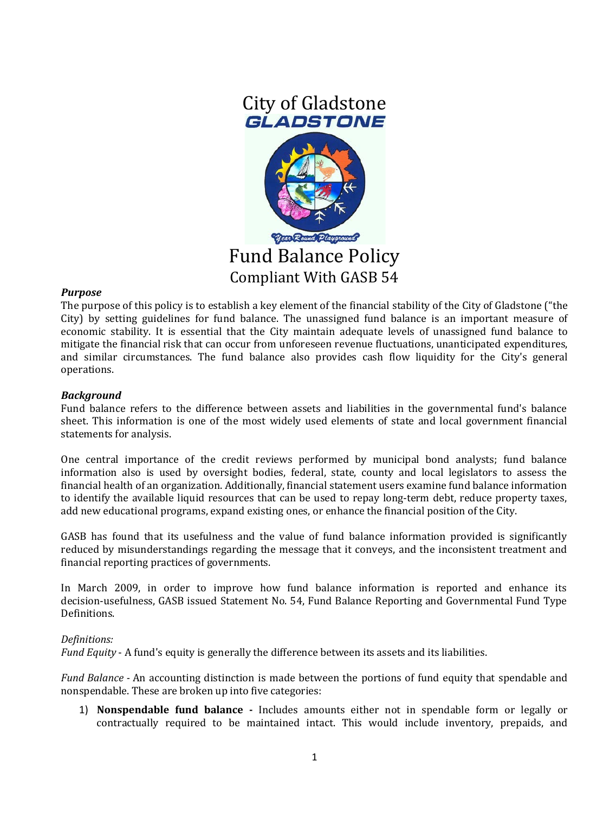

#### *Purpose*

The purpose of this policy is to establish a key element of the financial stability of the City of Gladstone ("the City) by setting guidelines for fund balance. The unassigned fund balance is an important measure of economic stability. It is essential that the City maintain adequate levels of unassigned fund balance to mitigate the financial risk that can occur from unforeseen revenue fluctuations, unanticipated expenditures, and similar circumstances. The fund balance also provides cash flow liquidity for the City's general operations.

# *Background*

Fund balance refers to the difference between assets and liabilities in the governmental fund's balance sheet. This information is one of the most widely used elements of state and local government financial statements for analysis.

One central importance of the credit reviews performed by municipal bond analysts; fund balance information also is used by oversight bodies, federal, state, county and local legislators to assess the financial health of an organization. Additionally, financial statement users examine fund balance information to identify the available liquid resources that can be used to repay long-term debt, reduce property taxes, add new educational programs, expand existing ones, or enhance the financial position of the City.

GASB has found that its usefulness and the value of fund balance information provided is significantly reduced by misunderstandings regarding the message that it conveys, and the inconsistent treatment and financial reporting practices of governments.

In March 2009, in order to improve how fund balance information is reported and enhance its decision-usefulness, GASB issued Statement No. 54, Fund Balance Reporting and Governmental Fund Type Definitions.

#### *Definitions:*

*Fund Equity* - A fund's equity is generally the difference between its assets and its liabilities.

*Fund Balance -* An accounting distinction is made between the portions of fund equity that spendable and nonspendable. These are broken up into five categories:

1) **Nonspendable fund balance -** Includes amounts either not in spendable form or legally or contractually required to be maintained intact. This would include inventory, prepaids, and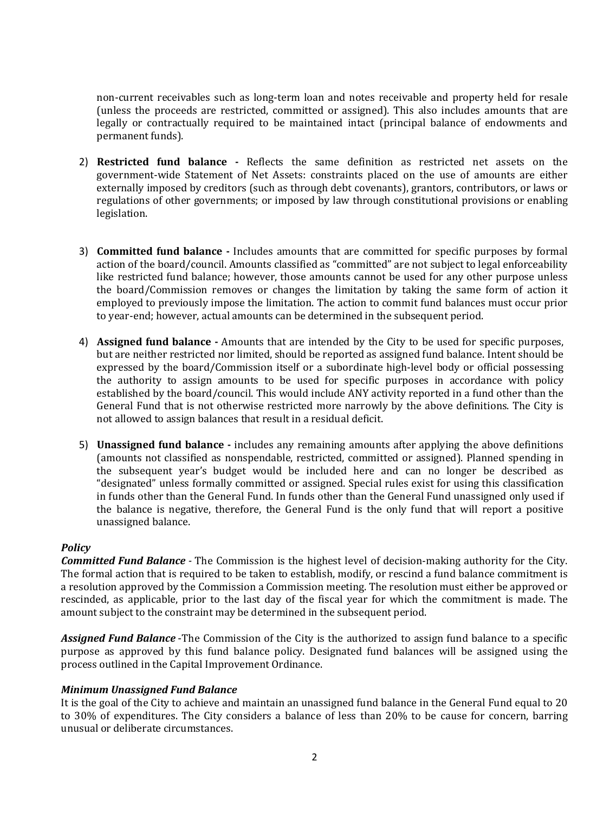non-current receivables such as long-term loan and notes receivable and property held for resale (unless the proceeds are restricted, committed or assigned). This also includes amounts that are legally or contractually required to be maintained intact (principal balance of endowments and permanent funds).

- 2) **Restricted fund balance -** Reflects the same definition as restricted net assets on the government-wide Statement of Net Assets: constraints placed on the use of amounts are either externally imposed by creditors (such as through debt covenants), grantors, contributors, or laws or regulations of other governments; or imposed by law through constitutional provisions or enabling legislation.
- 3) **Committed fund balance -** Includes amounts that are committed for specific purposes by formal action of the board/council. Amounts classified as "committed" are not subject to legal enforceability like restricted fund balance; however, those amounts cannot be used for any other purpose unless the board/Commission removes or changes the limitation by taking the same form of action it employed to previously impose the limitation. The action to commit fund balances must occur prior to year-end; however, actual amounts can be determined in the subsequent period.
- 4) **Assigned fund balance -** Amounts that are intended by the City to be used for specific purposes, but are neither restricted nor limited, should be reported as assigned fund balance. Intent should be expressed by the board/Commission itself or a subordinate high-level body or official possessing the authority to assign amounts to be used for specific purposes in accordance with policy established by the board/council. This would include ANY activity reported in a fund other than the General Fund that is not otherwise restricted more narrowly by the above definitions. The City is not allowed to assign balances that result in a residual deficit.
- 5) **Unassigned fund balance -** includes any remaining amounts after applying the above definitions (amounts not classified as nonspendable, restricted, committed or assigned). Planned spending in the subsequent year's budget would be included here and can no longer be described as "designated" unless formally committed or assigned. Special rules exist for using this classification in funds other than the General Fund. In funds other than the General Fund unassigned only used if the balance is negative, therefore, the General Fund is the only fund that will report a positive unassigned balance.

# *Policy*

*Committed Fund Balance -* The Commission is the highest level of decision-making authority for the City. The formal action that is required to be taken to establish, modify, or rescind a fund balance commitment is a resolution approved by the Commission a Commission meeting. The resolution must either be approved or rescinded, as applicable, prior to the last day of the fiscal year for which the commitment is made. The amount subject to the constraint may be determined in the subsequent period.

*Assigned Fund Balance* -The Commission of the City is the authorized to assign fund balance to a specific purpose as approved by this fund balance policy. Designated fund balances will be assigned using the process outlined in the Capital Improvement Ordinance.

# *Minimum Unassigned Fund Balance*

It is the goal of the City to achieve and maintain an unassigned fund balance in the General Fund equal to 20 to 30% of expenditures. The City considers a balance of less than 20% to be cause for concern, barring unusual or deliberate circumstances.